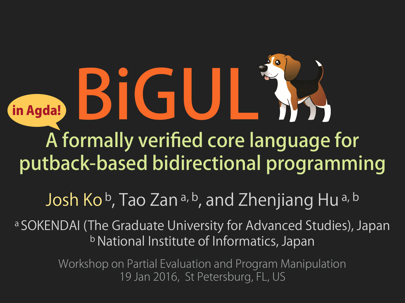A formally verified core language for putback-based bidirectional programming BIGU in Agda!

#### Josh Kob, Tao Zan<sup>a, b</sup>, and Zhenjiang Hu<sup>a, b</sup>

a SOKENDAI (The Graduate University for Advanced Studies), Japan b National Institute of Informatics, Japan

> Workshop on Partial Evaluation and Program Manipulation 19 Jan 2016, St Petersburg, FL, US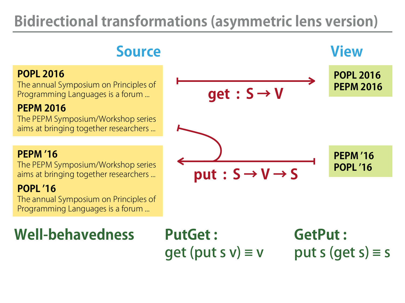#### **Bidirectional transformations (asymmetric lens version)**

#### **POPL 2016**

The annual Symposium on Principles of Programming Languages is a forum ...

#### **PEPM 2016**

The PEPM Symposium/Workshop series aims at bringing together researchers ...

#### **PEPM '16**

The PEPM Symposium/Workshop series aims at bringing together researchers ...

#### **POPL '16**

The annual Symposium on Principles of Programming Languages is a forum ...

#### **Well-behavedness**

**PutGet :** get (put s  $v \equiv v$ 

#### **GetPut :** put s (get  $s) \equiv s$

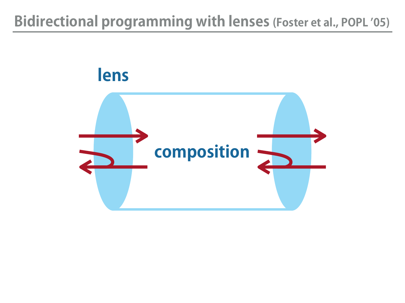#### **Bidirectional programming with lenses (Foster et al., POPL '05)**

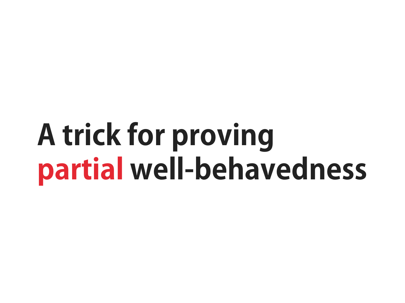## **A trick for proving partial well-behavedness**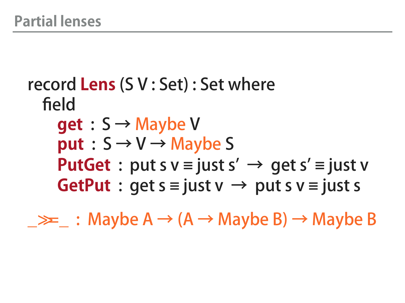#### record **Lens** (S V : Set) : Set where field **get** : S → Maybe V  $put: S \rightarrow V \rightarrow$  Maybe S **PutGet** : put s  $v \equiv$  just s'  $\rightarrow$  get s'  $\equiv$  just v **GetPut** : get  $s \equiv i$ ust v  $\rightarrow$  put s v  $\equiv i$ ust s

 $\rightarrow \geq \geq$  : Maybe A  $\rightarrow$  (A  $\rightarrow$  Maybe B)  $\rightarrow$  Maybe B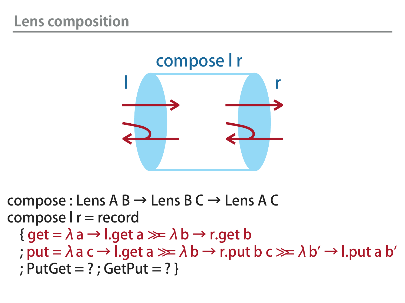

compose : Lens  $A B \rightarrow$  Lens  $B C \rightarrow$  Lens A C compose I r = record  ${ qet = \lambda a \rightarrow l.get a \gg \lambda b \rightarrow r.get b }$ ; put =  $\lambda$  a c  $\rightarrow$  l.get a  $\gg \lambda$  b  $\rightarrow$  r.put b c  $\gg \lambda$  b'  $\rightarrow$  l.put a b' ; PutGet = ? ; GetPut = ? }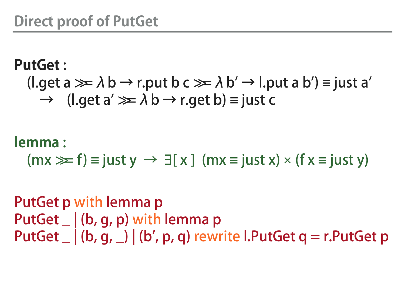#### **PutGet** : (l.get a  $\gg \lambda$  b  $\rightarrow$  r.put b c  $\gg \lambda$  b'  $\rightarrow$  l.put a b') = just a'  $\rightarrow$  (l.get a'  $\gg \lambda$  b  $\rightarrow$  r.get b) = just c

#### **lemma** :

 $(mx \gg f) \equiv just \ y \rightarrow \exists [x] (mx \equiv just \ x) \times (fx \equiv just \ y)$ 

PutGet p with lemma p PutGet \_ | (b, g, p) with lemma p PutGet  $\Box$  (b, g,  $\Box$ ) (b', p, q) rewrite l.PutGet q = r.PutGet p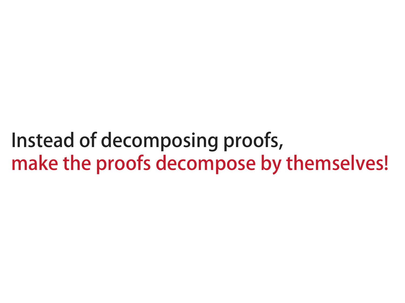Instead of decomposing proofs, make the proofs decompose by themselves!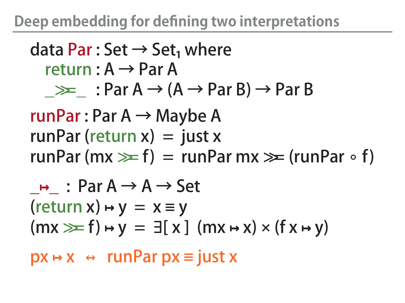#### **Deep embedding for defining two interpretations**

#### data Par : Set  $\rightarrow$  Set<sub>1</sub> where return :  $A \rightarrow Par A$  $\gg$  : Par A  $\rightarrow$  (A  $\rightarrow$  Par B)  $\rightarrow$  Par B runPar : Par  $A \rightarrow$  Maybe A

runPar (return  $x$ ) = just x runPar (mx  $\geq f$ ) = runPar mx  $\geq f$  (runPar ∘ f)

$$
\frac{\rightarrow}{\text{return } x} : \text{Par } A \rightarrow A \rightarrow \text{Set}
$$
\n
$$
(\text{return } x) \rightarrow y = x \equiv y
$$
\n
$$
(\text{mx} \gg f) \rightarrow y = \exists [x] (\text{mx} \rightarrow x) \times (f x \rightarrow y)
$$

px **↦** x ↔ runPar px ≡ just x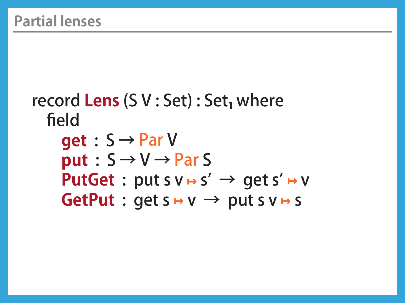```
record Lens (S V : Set) : Set<sub>1</sub> where
   field
 get : S →
Par
V
put: S \rightarrow V \rightarrow ParSPutGet : put s v → s' → get s' → v
GetPut : get s → v → put s v → s
```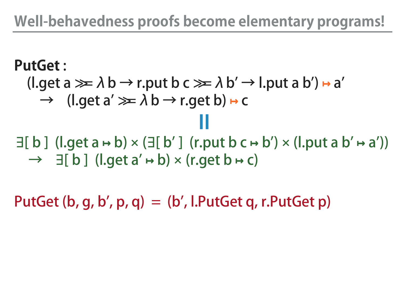#### **Well-behavedness proofs become elementary programs!**

#### **PutGet** :  $(l. qet a \ggg \lambda b \rightarrow r$ .put b  $c \ggg \lambda b' \rightarrow l$ .put a b')  $\mapsto a'$  $\rightarrow$  (l.get a'  $\gg \lambda$  b  $\rightarrow$  r.get b)  $\mapsto$  c  $\exists [ b ]$  (l.get a  $\mapsto$  b)  $\times$  ( $\exists [ b' ]$  (r.put b  $c \mapsto b'$ )  $\times$  (l.put a  $b' \mapsto a'$ )) → ∃[ b ] (l.get a' **↦** b) × (r.get b **↦** c) =

PutGet  $(b, g, b', p, q) = (b', I.PutGet g, r.PutGet p)$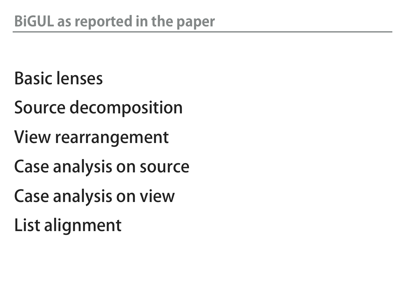#### Basic lenses

- Source decomposition
- View rearrangement
- Case analysis on source
- Case analysis on view
- List alignment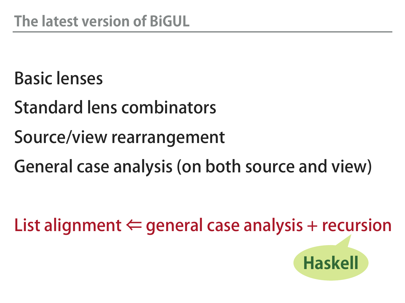#### Basic lenses

- Standard lens combinators
- Source/view rearrangement
- General case analysis (on both source and view)

List alignment  $\Leftarrow$  general case analysis + recursion

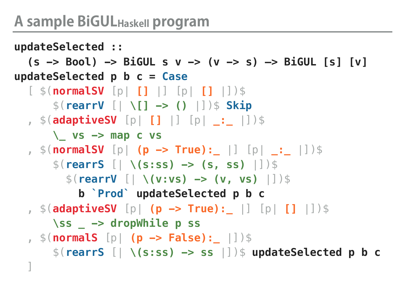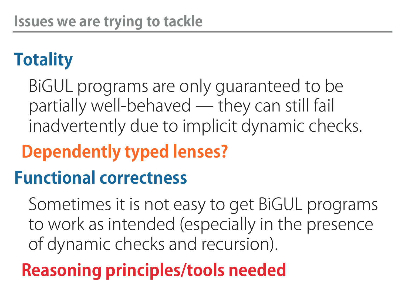## **Totality**

BiGUL programs are only guaranteed to be partially well-behaved ̶ they can still fail inadvertently due to implicit dynamic checks.

## **Dependently typed lenses?**

#### **Functional correctness**

Sometimes it is not easy to get BiGUL programs to work as intended (especially in the presence of dynamic checks and recursion).

## **Reasoning principles/tools needed**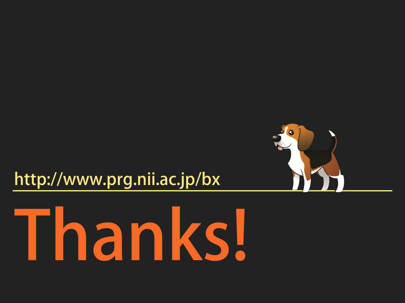#### http://www.prg.nii.ac.jp/bx



# Thanks!